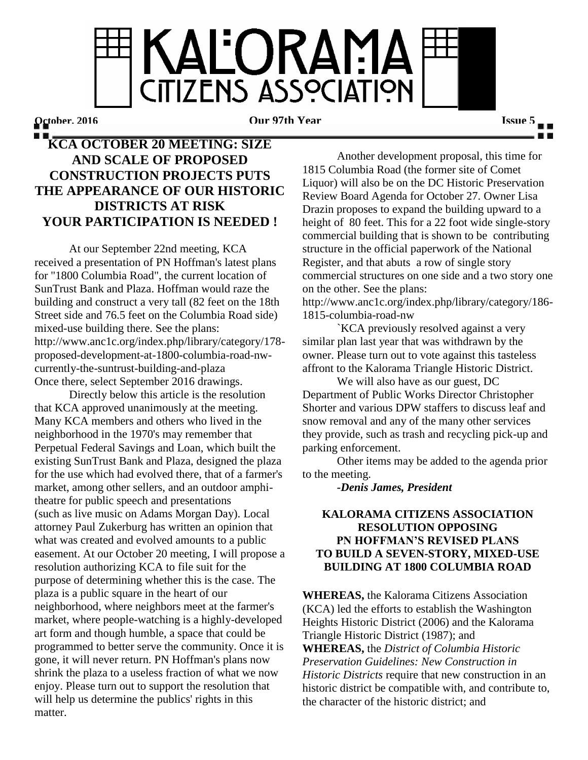**KALORAMA** CITIZENS ASSOCIATION

**October, 2016 Our 97th Year Issue 5**

## **KCA OCTOBER 20 MEETING: SIZE AND SCALE OF PROPOSED CONSTRUCTION PROJECTS PUTS THE APPEARANCE OF OUR HISTORIC DISTRICTS AT RISK YOUR PARTICIPATION IS NEEDED !**

At our September 22nd meeting, KCA received a presentation of PN Hoffman's latest plans for "1800 Columbia Road", the current location of SunTrust Bank and Plaza. Hoffman would raze the building and construct a very tall (82 feet on the 18th Street side and 76.5 feet on the Columbia Road side) mixed-use building there. See the plans: http://www.anc1c.org/index.php/library/category/178 proposed-development-at-1800-columbia-road-nwcurrently-the-suntrust-building-and-plaza Once there, select September 2016 drawings.

Directly below this article is the resolution that KCA approved unanimously at the meeting. Many KCA members and others who lived in the neighborhood in the 1970's may remember that Perpetual Federal Savings and Loan, which built the existing SunTrust Bank and Plaza, designed the plaza for the use which had evolved there, that of a farmer's market, among other sellers, and an outdoor amphitheatre for public speech and presentations (such as live music on Adams Morgan Day). Local attorney Paul Zukerburg has written an opinion that what was created and evolved amounts to a public easement. At our October 20 meeting, I will propose a resolution authorizing KCA to file suit for the purpose of determining whether this is the case. The plaza is a public square in the heart of our neighborhood, where neighbors meet at the farmer's market, where people-watching is a highly-developed art form and though humble, a space that could be programmed to better serve the community. Once it is gone, it will never return. PN Hoffman's plans now shrink the plaza to a useless fraction of what we now enjoy. Please turn out to support the resolution that will help us determine the publics' rights in this matter.

Another development proposal, this time for 1815 Columbia Road (the former site of Comet Liquor) will also be on the DC Historic Preservation Review Board Agenda for October 27. Owner Lisa Drazin proposes to expand the building upward to a height of 80 feet. This for a 22 foot wide single-story commercial building that is shown to be contributing structure in the official paperwork of the National Register, and that abuts a row of single story commercial structures on one side and a two story one on the other. See the plans:

http://www.anc1c.org/index.php/library/category/186- 1815-columbia-road-nw

`KCA previously resolved against a very similar plan last year that was withdrawn by the owner. Please turn out to vote against this tasteless affront to the Kalorama Triangle Historic District.

We will also have as our guest, DC Department of Public Works Director Christopher Shorter and various DPW staffers to discuss leaf and snow removal and any of the many other services they provide, such as trash and recycling pick-up and parking enforcement.

Other items may be added to the agenda prior to the meeting.

*-Denis James, President*

## **KALORAMA CITIZENS ASSOCIATION RESOLUTION OPPOSING PN HOFFMAN'S REVISED PLANS TO BUILD A SEVEN-STORY, MIXED-USE BUILDING AT 1800 COLUMBIA ROAD**

**WHEREAS,** the Kalorama Citizens Association (KCA) led the efforts to establish the Washington Heights Historic District (2006) and the Kalorama Triangle Historic District (1987); and **WHEREAS,** the *District of Columbia Historic Preservation Guidelines: New Construction in Historic Districts* require that new construction in an historic district be compatible with, and contribute to, the character of the historic district; and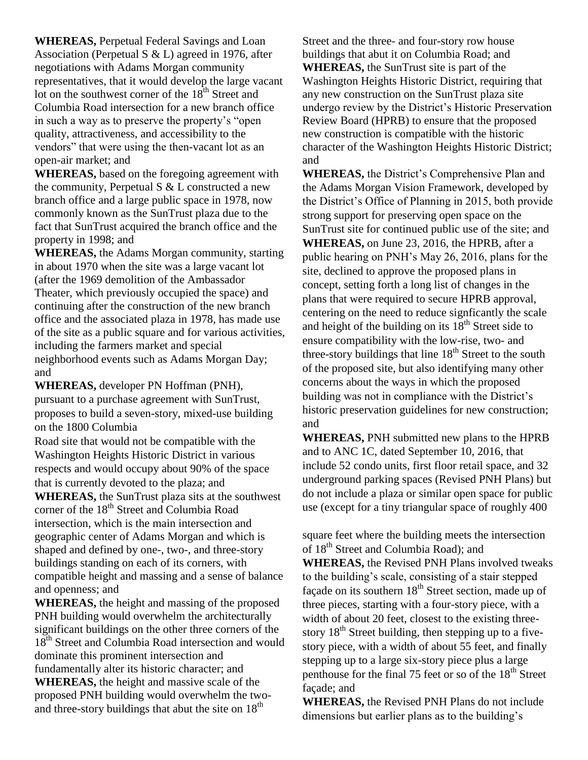**WHEREAS,** Perpetual Federal Savings and Loan Association (Perpetual S & L) agreed in 1976, after negotiations with Adams Morgan community representatives, that it would develop the large vacant lot on the southwest corner of the  $18<sup>th</sup>$  Street and Columbia Road intersection for a new branch office in such a way as to preserve the property's "open quality, attractiveness, and accessibility to the vendors" that were using the then-vacant lot as an open-air market; and

**WHEREAS,** based on the foregoing agreement with the community, Perpetual S & L constructed a new branch office and a large public space in 1978, now commonly known as the SunTrust plaza due to the fact that SunTrust acquired the branch office and the property in 1998; and

**WHEREAS,** the Adams Morgan community, starting in about 1970 when the site was a large vacant lot (after the 1969 demolition of the Ambassador Theater, which previously occupied the space) and continuing after the construction of the new branch office and the associated plaza in 1978, has made use of the site as a public square and for various activities, including the farmers market and special neighborhood events such as Adams Morgan Day; and

**WHEREAS,** developer PN Hoffman (PNH), pursuant to a purchase agreement with SunTrust, proposes to build a seven-story, mixed-use building on the 1800 Columbia

Road site that would not be compatible with the Washington Heights Historic District in various respects and would occupy about 90% of the space that is currently devoted to the plaza; and

**WHEREAS,** the SunTrust plaza sits at the southwest corner of the 18<sup>th</sup> Street and Columbia Road intersection, which is the main intersection and geographic center of Adams Morgan and which is shaped and defined by one-, two-, and three-story buildings standing on each of its corners, with compatible height and massing and a sense of balance and openness; and

**WHEREAS,** the height and massing of the proposed PNH building would overwhelm the architecturally significant buildings on the other three corners of the 18<sup>th</sup> Street and Columbia Road intersection and would dominate this prominent intersection and fundamentally alter its historic character; and **WHEREAS,** the height and massive scale of the proposed PNH building would overwhelm the twoand three-story buildings that abut the site on  $18<sup>th</sup>$ 

Street and the three- and four-story row house buildings that abut it on Columbia Road; and **WHEREAS,** the SunTrust site is part of the Washington Heights Historic District, requiring that any new construction on the SunTrust plaza site undergo review by the District's Historic Preservation Review Board (HPRB) to ensure that the proposed new construction is compatible with the historic character of the Washington Heights Historic District; and

**WHEREAS,** the District's Comprehensive Plan and the Adams Morgan Vision Framework, developed by the District's Office of Planning in 2015, both provide strong support for preserving open space on the SunTrust site for continued public use of the site; and **WHEREAS,** on June 23, 2016, the HPRB, after a public hearing on PNH's May 26, 2016, plans for the site, declined to approve the proposed plans in concept, setting forth a long list of changes in the plans that were required to secure HPRB approval, centering on the need to reduce signficantly the scale and height of the building on its  $18<sup>th</sup>$  Street side to ensure compatibility with the low-rise, two- and three-story buildings that line  $18<sup>th</sup>$  Street to the south of the proposed site, but also identifying many other concerns about the ways in which the proposed building was not in compliance with the District's historic preservation guidelines for new construction; and

**WHEREAS,** PNH submitted new plans to the HPRB and to ANC 1C, dated September 10, 2016, that include 52 condo units, first floor retail space, and 32 underground parking spaces (Revised PNH Plans) but do not include a plaza or similar open space for public use (except for a tiny triangular space of roughly 400

square feet where the building meets the intersection of 18<sup>th</sup> Street and Columbia Road); and

**WHEREAS,** the Revised PNH Plans involved tweaks to the building's scale, consisting of a stair stepped façade on its southern 18<sup>th</sup> Street section, made up of three pieces, starting with a four-story piece, with a width of about 20 feet, closest to the existing threestory  $18<sup>th</sup>$  Street building, then stepping up to a fivestory piece, with a width of about 55 feet, and finally stepping up to a large six-story piece plus a large penthouse for the final 75 feet or so of the  $18<sup>th</sup>$  Street façade; and

**WHEREAS,** the Revised PNH Plans do not include dimensions but earlier plans as to the building's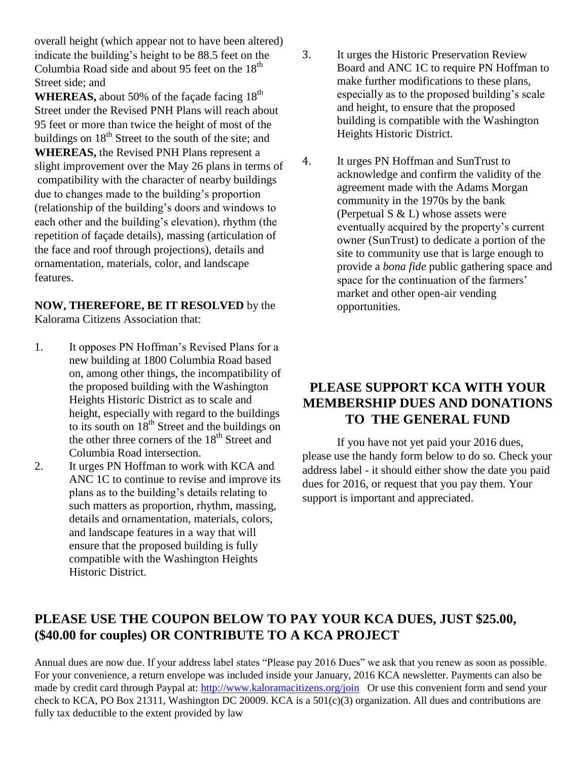overall height (which appear not to have been altered) indicate the building's height to be 88.5 feet on the Columbia Road side and about 95 feet on the  $18<sup>th</sup>$ Street side; and

WHEREAS, about 50% of the façade facing 18<sup>th</sup> Street under the Revised PNH Plans will reach about 95 feet or more than twice the height of most of the buildings on  $18<sup>th</sup>$  Street to the south of the site; and **WHEREAS,** the Revised PNH Plans represent a slight improvement over the May 26 plans in terms of compatibility with the character of nearby buildings due to changes made to the building's proportion (relationship of the building's doors and windows to each other and the building's elevation), rhythm (the repetition of façade details), massing (articulation of the face and roof through projections), details and ornamentation, materials, color, and landscape features.

**NOW, THEREFORE, BE IT RESOLVED** by the Kalorama Citizens Association that:

- 1. It opposes PN Hoffman's Revised Plans for a new building at 1800 Columbia Road based on, among other things, the incompatibility of the proposed building with the Washington Heights Historic District as to scale and height, especially with regard to the buildings to its south on  $18^{th}$  Street and the buildings on the other three corners of the  $18<sup>th</sup>$  Street and Columbia Road intersection.
- 2. It urges PN Hoffman to work with KCA and ANC 1C to continue to revise and improve its plans as to the building's details relating to such matters as proportion, rhythm, massing, details and ornamentation, materials, colors, and landscape features in a way that will ensure that the proposed building is fully compatible with the Washington Heights Historic District.
- 3. It urges the Historic Preservation Review Board and ANC 1C to require PN Hoffman to make further modifications to these plans, especially as to the proposed building's scale and height, to ensure that the proposed building is compatible with the Washington Heights Historic District.
- 4. It urges PN Hoffman and SunTrust to acknowledge and confirm the validity of the agreement made with the Adams Morgan community in the 1970s by the bank (Perpetual  $S < L$ ) whose assets were eventually acquired by the property's current owner (SunTrust) to dedicate a portion of the site to community use that is large enough to provide a *bona fide* public gathering space and space for the continuation of the farmers' market and other open-air vending opportunities.

## **PLEASE SUPPORT KCA WITH YOUR MEMBERSHIP DUES AND DONATIONS TO THE GENERAL FUND**

If you have not yet paid your 2016 dues, please use the handy form below to do so. Check your address label - it should either show the date you paid dues for 2016, or request that you pay them. Your support is important and appreciated.

## **PLEASE USE THE COUPON BELOW TO PAY YOUR KCA DUES, JUST \$25.00, (\$40.00 for couples) OR CONTRIBUTE TO A KCA PROJECT**

Annual dues are now due. If your address label states "Please pay 2016 Dues" we ask that you renew as soon as possible. For your convenience, a return envelope was included inside your January, 2016 KCA newsletter. Payments can also be made by credit card through Paypal at:<http://www.kaloramacitizens.org/join>Or use this convenient form and send your check to KCA, PO Box 21311, Washington DC 20009. KCA is a 501(c)(3) organization. All dues and contributions are fully tax deductible to the extent provided by law